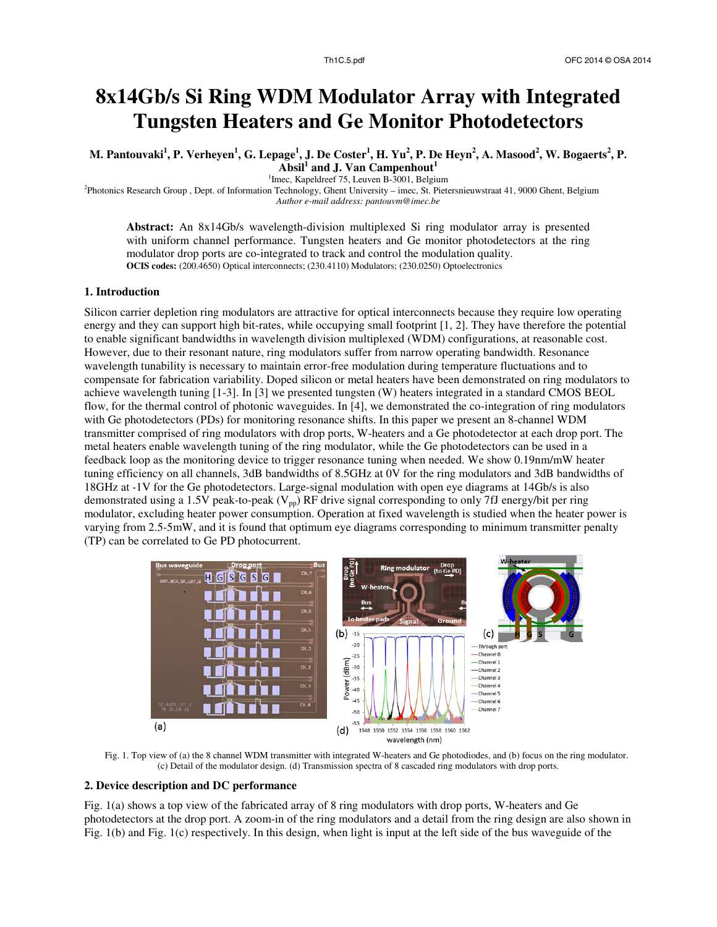# **8x14Gb/s Si Ring WDM Modulator Array with Integrated Tungsten Heaters and Ge Monitor Photodetectors**

M. Pantouvaki<sup>1</sup>, P. Verheyen<sup>1</sup>, G. Lepage<sup>1</sup>, J. De Coster<sup>1</sup>, H. Yu<sup>2</sup>, P. De Heyn<sup>2</sup>, A. Masood<sup>2</sup>, W. Bogaerts<sup>2</sup>, P. **Absil<sup>1</sup> and J. Van Campenhout<sup>1</sup>**

<sup>1</sup>Imec, Kapeldreef 75, Leuven B-3001, Belgium

2 Photonics Research Group , Dept. of Information Technology, Ghent University – imec, St. Pietersnieuwstraat 41, 9000 Ghent, Belgium *Author e-mail address: pantouvm@imec.be* 

**Abstract:** An 8x14Gb/s wavelength-division multiplexed Si ring modulator array is presented with uniform channel performance. Tungsten heaters and Ge monitor photodetectors at the ring modulator drop ports are co-integrated to track and control the modulation quality. **OCIS codes:** (200.4650) Optical interconnects; (230.4110) Modulators; (230.0250) Optoelectronics

## **1. Introduction**

Silicon carrier depletion ring modulators are attractive for optical interconnects because they require low operating energy and they can support high bit-rates, while occupying small footprint [1, 2]. They have therefore the potential to enable significant bandwidths in wavelength division multiplexed (WDM) configurations, at reasonable cost. However, due to their resonant nature, ring modulators suffer from narrow operating bandwidth. Resonance wavelength tunability is necessary to maintain error-free modulation during temperature fluctuations and to compensate for fabrication variability. Doped silicon or metal heaters have been demonstrated on ring modulators to achieve wavelength tuning [1-3]. In [3] we presented tungsten (W) heaters integrated in a standard CMOS BEOL flow, for the thermal control of photonic waveguides. In [4], we demonstrated the co-integration of ring modulators with Ge photodetectors (PDs) for monitoring resonance shifts. In this paper we present an 8-channel WDM transmitter comprised of ring modulators with drop ports, W-heaters and a Ge photodetector at each drop port. The metal heaters enable wavelength tuning of the ring modulator, while the Ge photodetectors can be used in a feedback loop as the monitoring device to trigger resonance tuning when needed. We show 0.19nm/mW heater tuning efficiency on all channels, 3dB bandwidths of 8.5GHz at 0V for the ring modulators and 3dB bandwidths of 18GHz at -1V for the Ge photodetectors. Large-signal modulation with open eye diagrams at 14Gb/s is also demonstrated using a 1.5V peak-to-peak ( $V_{pp}$ ) RF drive signal corresponding to only 7fJ energy/bit per ring modulator, excluding heater power consumption. Operation at fixed wavelength is studied when the heater power is varying from 2.5-5mW, and it is found that optimum eye diagrams corresponding to minimum transmitter penalty (TP) can be correlated to Ge PD photocurrent.



Fig. 1. Top view of (a) the 8 channel WDM transmitter with integrated W-heaters and Ge photodiodes, and (b) focus on the ring modulator. (c) Detail of the modulator design. (d) Transmission spectra of 8 cascaded ring modulators with drop ports.

# **2. Device description and DC performance**

Fig. 1(a) shows a top view of the fabricated array of 8 ring modulators with drop ports, W-heaters and Ge photodetectors at the drop port. A zoom-in of the ring modulators and a detail from the ring design are also shown in Fig. 1(b) and Fig. 1(c) respectively. In this design, when light is input at the left side of the bus waveguide of the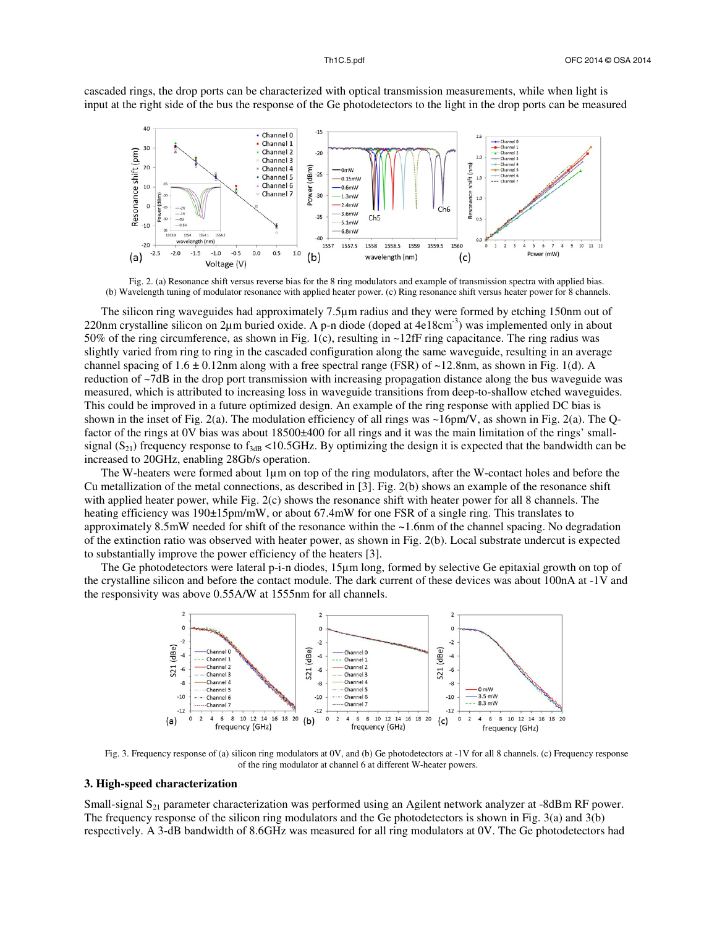cascaded rings, the drop ports can be characterized with optical transmission measurements, while when light is input at the right side of the bus the response of the Ge photodetectors to the light in the drop ports can be measured



Fig. 2. (a) Resonance shift versus reverse bias for the 8 ring modulators and example of transmission spectra with applied bias. (b) Wavelength tuning of modulator resonance with applied heater power. (c) Ring resonance shift versus heater power for 8 channels.

The silicon ring waveguides had approximately 7.5µm radius and they were formed by etching 150nm out of 220nm crystalline silicon on 2µm buried oxide. A p-n diode (doped at  $4e18 \text{cm}^{-3}$ ) was implemented only in about 50% of the ring circumference, as shown in Fig. 1(c), resulting in ~12fF ring capacitance. The ring radius was slightly varied from ring to ring in the cascaded configuration along the same waveguide, resulting in an average channel spacing of  $1.6 \pm 0.12$ nm along with a free spectral range (FSR) of ~12.8nm, as shown in Fig. 1(d). A reduction of ~7dB in the drop port transmission with increasing propagation distance along the bus waveguide was measured, which is attributed to increasing loss in waveguide transitions from deep-to-shallow etched waveguides. This could be improved in a future optimized design. An example of the ring response with applied DC bias is shown in the inset of Fig. 2(a). The modulation efficiency of all rings was  $\sim$ 16pm/V, as shown in Fig. 2(a). The Qfactor of the rings at 0V bias was about 18500 $\pm$ 400 for all rings and it was the main limitation of the rings' smallsignal  $(S_{21})$  frequency response to  $f_{3dB}$  <10.5GHz. By optimizing the design it is expected that the bandwidth can be increased to 20GHz, enabling 28Gb/s operation.

The W-heaters were formed about 1µm on top of the ring modulators, after the W-contact holes and before the Cu metallization of the metal connections, as described in [3]. Fig. 2(b) shows an example of the resonance shift with applied heater power, while Fig. 2(c) shows the resonance shift with heater power for all 8 channels. The heating efficiency was 190±15pm/mW, or about 67.4mW for one FSR of a single ring. This translates to approximately 8.5mW needed for shift of the resonance within the ~1.6nm of the channel spacing. No degradation of the extinction ratio was observed with heater power, as shown in Fig. 2(b). Local substrate undercut is expected to substantially improve the power efficiency of the heaters [3].

The Ge photodetectors were lateral p-i-n diodes, 15µm long, formed by selective Ge epitaxial growth on top of the crystalline silicon and before the contact module. The dark current of these devices was about 100nA at -1V and the responsivity was above 0.55A/W at 1555nm for all channels.



Fig. 3. Frequency response of (a) silicon ring modulators at 0V, and (b) Ge photodetectors at -1V for all 8 channels. (c) Frequency response of the ring modulator at channel 6 at different W-heater powers.

### **3. High-speed characterization**

Small-signal S<sub>21</sub> parameter characterization was performed using an Agilent network analyzer at -8dBm RF power. The frequency response of the silicon ring modulators and the Ge photodetectors is shown in Fig. 3(a) and 3(b) respectively. A 3-dB bandwidth of 8.6GHz was measured for all ring modulators at 0V. The Ge photodetectors had